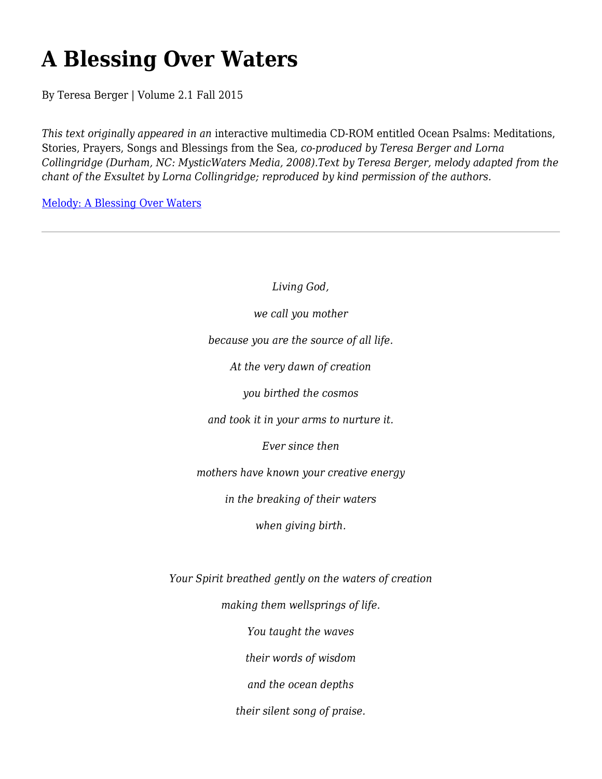## **A Blessing Over Waters**

By Teresa Berger | Volume 2.1 Fall 2015

*This text originally appeared in an* interactive multimedia CD-ROM entitled Ocean Psalms: Meditations, Stories, Prayers, Songs and Blessings from the Sea*, co-produced by Teresa Berger and Lorna Collingridge (Durham, NC: MysticWaters Media, 2008).Text by Teresa Berger, melody adapted from the chant of the Exsultet by Lorna Collingridge; reproduced by kind permission of the authors.*

Melody: A Blessing Over Waters

*Living God, we call you mother because you are the source of all life. At the very dawn of creation you birthed the cosmos and took it in your arms to nurture it. Ever since then mothers have known your creative energy in the breaking of their waters when giving birth. Your Spirit breathed gently on the waters of creation making them wellsprings of life. You taught the waves their words of wisdom and the ocean depths their silent song of praise.*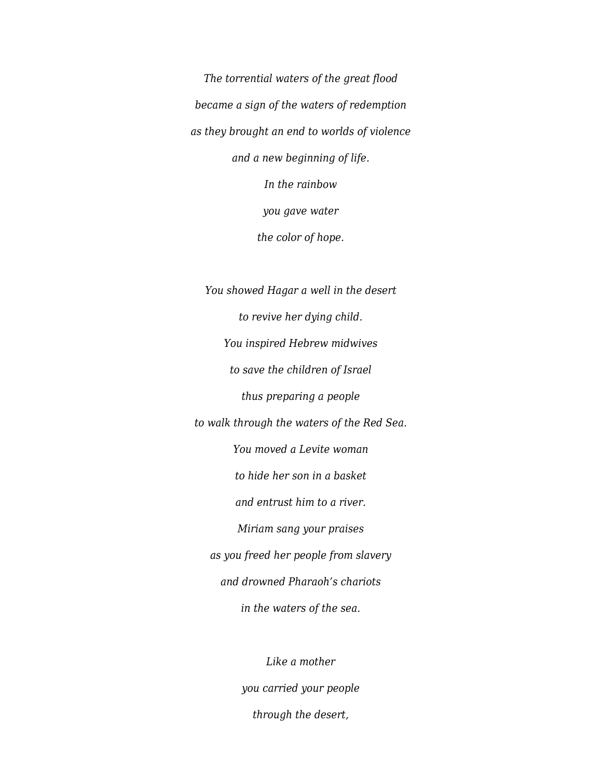*The torrential waters of the great flood became a sign of the waters of redemption as they brought an end to worlds of violence and a new beginning of life. In the rainbow you gave water the color of hope.*

*You showed Hagar a well in the desert to revive her dying child. You inspired Hebrew midwives to save the children of Israel thus preparing a people to walk through the waters of the Red Sea. You moved a Levite woman to hide her son in a basket and entrust him to a river. Miriam sang your praises as you freed her people from slavery and drowned Pharaoh's chariots in the waters of the sea.*

> *Like a mother you carried your people through the desert,*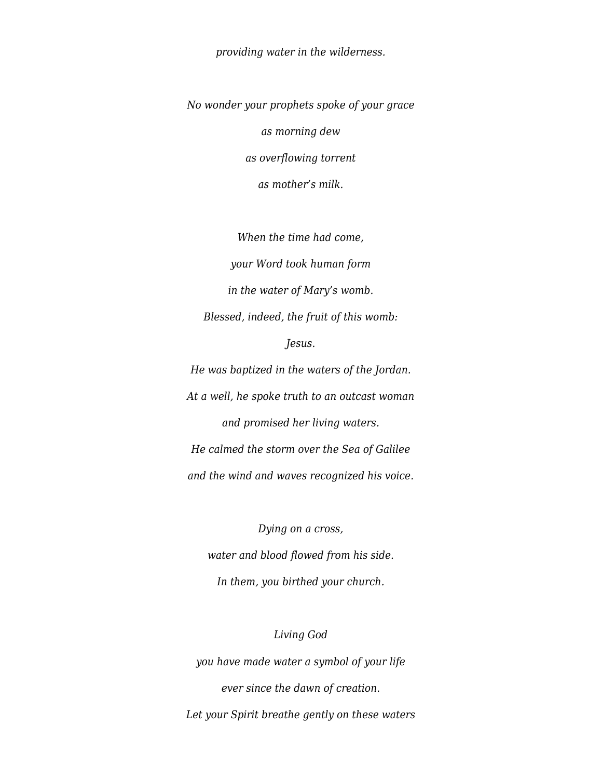*providing water in the wilderness.*

*No wonder your prophets spoke of your grace as morning dew as overflowing torrent as mother's milk.*

*When the time had come, your Word took human form in the water of Mary's womb. Blessed, indeed, the fruit of this womb: Jesus. He was baptized in the waters of the Jordan.*

*At a well, he spoke truth to an outcast woman and promised her living waters. He calmed the storm over the Sea of Galilee and the wind and waves recognized his voice.*

*Dying on a cross, water and blood flowed from his side. In them, you birthed your church.*

*Living God you have made water a symbol of your life ever since the dawn of creation. Let your Spirit breathe gently on these waters*